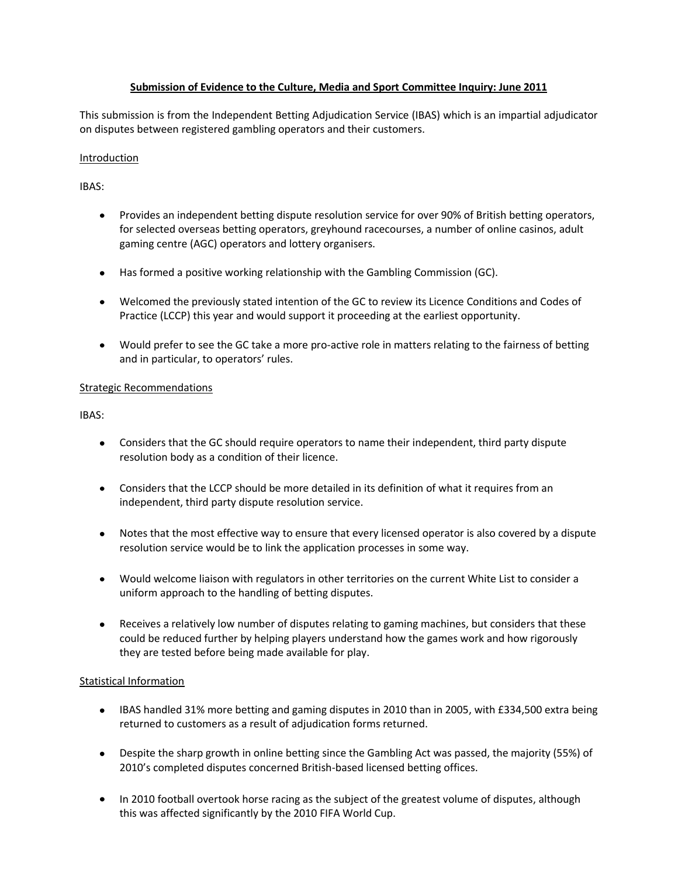### **Submission of Evidence to the Culture, Media and Sport Committee Inquiry: June 2011**

This submission is from the Independent Betting Adjudication Service (IBAS) which is an impartial adjudicator on disputes between registered gambling operators and their customers.

### Introduction

IBAS:

- Provides an independent betting dispute resolution service for over 90% of British betting operators, for selected overseas betting operators, greyhound racecourses, a number of online casinos, adult gaming centre (AGC) operators and lottery organisers.
- Has formed a positive working relationship with the Gambling Commission (GC).
- Welcomed the previously stated intention of the GC to review its Licence Conditions and Codes of Practice (LCCP) this year and would support it proceeding at the earliest opportunity.
- Would prefer to see the GC take a more pro-active role in matters relating to the fairness of betting and in particular, to operators' rules.

### Strategic Recommendations

IBAS:

- Considers that the GC should require operators to name their independent, third party dispute resolution body as a condition of their licence.
- Considers that the LCCP should be more detailed in its definition of what it requires from an independent, third party dispute resolution service.
- Notes that the most effective way to ensure that every licensed operator is also covered by a dispute resolution service would be to link the application processes in some way.
- Would welcome liaison with regulators in other territories on the current White List to consider a uniform approach to the handling of betting disputes.
- Receives a relatively low number of disputes relating to gaming machines, but considers that these could be reduced further by helping players understand how the games work and how rigorously they are tested before being made available for play.

### Statistical Information

- IBAS handled 31% more betting and gaming disputes in 2010 than in 2005, with £334,500 extra being returned to customers as a result of adjudication forms returned.
- Despite the sharp growth in online betting since the Gambling Act was passed, the majority (55%) of 2010's completed disputes concerned British-based licensed betting offices.
- In 2010 football overtook horse racing as the subject of the greatest volume of disputes, although this was affected significantly by the 2010 FIFA World Cup.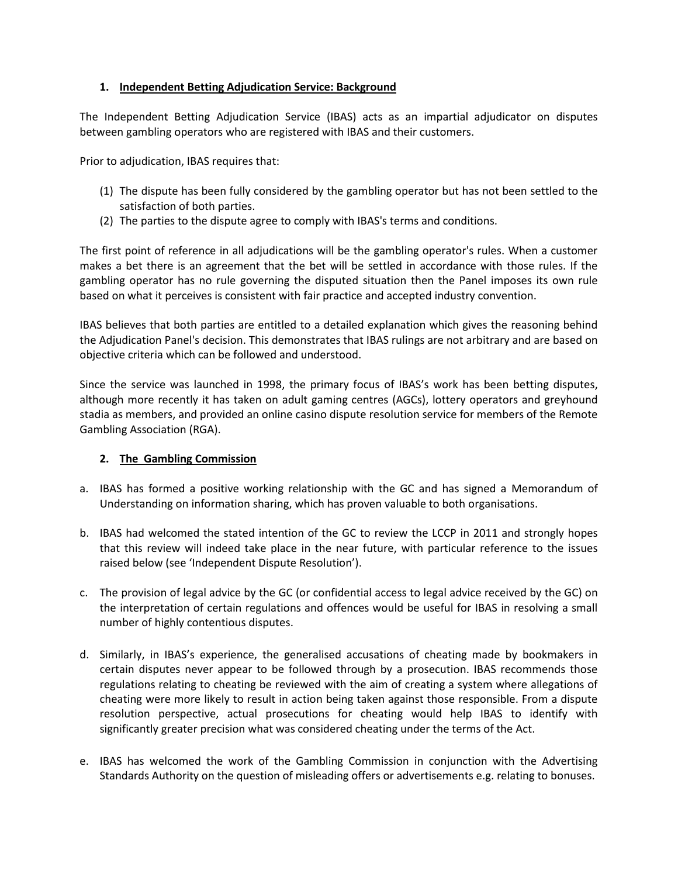## **1. Independent Betting Adjudication Service: Background**

The Independent Betting Adjudication Service (IBAS) acts as an impartial adjudicator on disputes between gambling operators who are registered with IBAS and their customers.

Prior to adjudication, IBAS requires that:

- (1) The dispute has been fully considered by the gambling operator but has not been settled to the satisfaction of both parties.
- (2) The parties to the dispute agree to comply with IBAS's terms and conditions.

The first point of reference in all adjudications will be the gambling operator's rules. When a customer makes a bet there is an agreement that the bet will be settled in accordance with those rules. If the gambling operator has no rule governing the disputed situation then the Panel imposes its own rule based on what it perceives is consistent with fair practice and accepted industry convention.

IBAS believes that both parties are entitled to a detailed explanation which gives the reasoning behind the Adjudication Panel's decision. This demonstrates that IBAS rulings are not arbitrary and are based on objective criteria which can be followed and understood.

Since the service was launched in 1998, the primary focus of IBAS's work has been betting disputes, although more recently it has taken on adult gaming centres (AGCs), lottery operators and greyhound stadia as members, and provided an online casino dispute resolution service for members of the Remote Gambling Association (RGA).

### **2. The Gambling Commission**

- a. IBAS has formed a positive working relationship with the GC and has signed a Memorandum of Understanding on information sharing, which has proven valuable to both organisations.
- b. IBAS had welcomed the stated intention of the GC to review the LCCP in 2011 and strongly hopes that this review will indeed take place in the near future, with particular reference to the issues raised below (see 'Independent Dispute Resolution').
- c. The provision of legal advice by the GC (or confidential access to legal advice received by the GC) on the interpretation of certain regulations and offences would be useful for IBAS in resolving a small number of highly contentious disputes.
- d. Similarly, in IBAS's experience, the generalised accusations of cheating made by bookmakers in certain disputes never appear to be followed through by a prosecution. IBAS recommends those regulations relating to cheating be reviewed with the aim of creating a system where allegations of cheating were more likely to result in action being taken against those responsible. From a dispute resolution perspective, actual prosecutions for cheating would help IBAS to identify with significantly greater precision what was considered cheating under the terms of the Act.
- e. IBAS has welcomed the work of the Gambling Commission in conjunction with the Advertising Standards Authority on the question of misleading offers or advertisements e.g. relating to bonuses.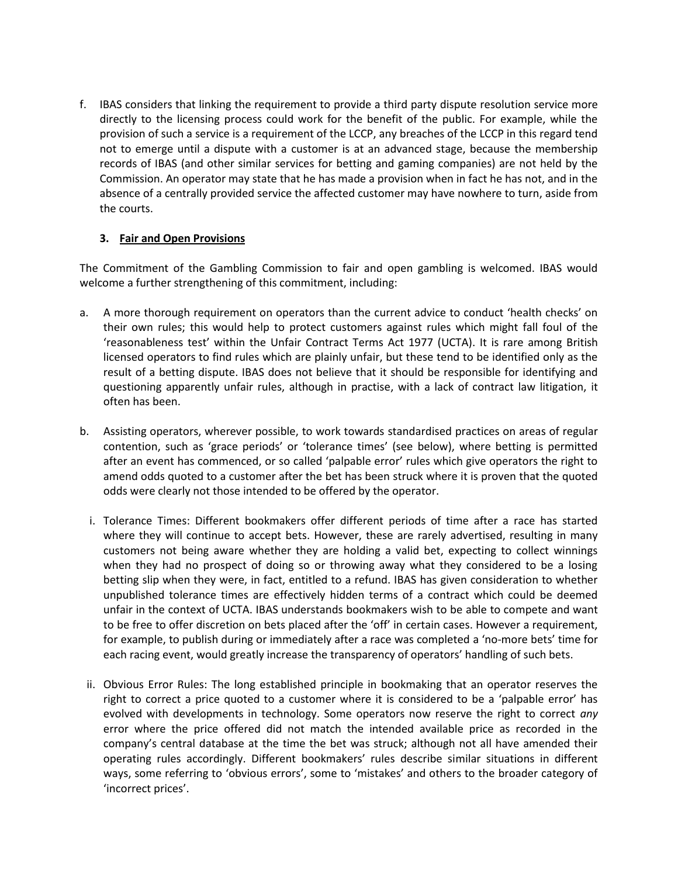f. IBAS considers that linking the requirement to provide a third party dispute resolution service more directly to the licensing process could work for the benefit of the public. For example, while the provision of such a service is a requirement of the LCCP, any breaches of the LCCP in this regard tend not to emerge until a dispute with a customer is at an advanced stage, because the membership records of IBAS (and other similar services for betting and gaming companies) are not held by the Commission. An operator may state that he has made a provision when in fact he has not, and in the absence of a centrally provided service the affected customer may have nowhere to turn, aside from the courts.

## **3. Fair and Open Provisions**

The Commitment of the Gambling Commission to fair and open gambling is welcomed. IBAS would welcome a further strengthening of this commitment, including:

- a. A more thorough requirement on operators than the current advice to conduct 'health checks' on their own rules; this would help to protect customers against rules which might fall foul of the 'reasonableness test' within the Unfair Contract Terms Act 1977 (UCTA). It is rare among British licensed operators to find rules which are plainly unfair, but these tend to be identified only as the result of a betting dispute. IBAS does not believe that it should be responsible for identifying and questioning apparently unfair rules, although in practise, with a lack of contract law litigation, it often has been.
- b. Assisting operators, wherever possible, to work towards standardised practices on areas of regular contention, such as 'grace periods' or 'tolerance times' (see below), where betting is permitted after an event has commenced, or so called 'palpable error' rules which give operators the right to amend odds quoted to a customer after the bet has been struck where it is proven that the quoted odds were clearly not those intended to be offered by the operator.
	- i. Tolerance Times: Different bookmakers offer different periods of time after a race has started where they will continue to accept bets. However, these are rarely advertised, resulting in many customers not being aware whether they are holding a valid bet, expecting to collect winnings when they had no prospect of doing so or throwing away what they considered to be a losing betting slip when they were, in fact, entitled to a refund. IBAS has given consideration to whether unpublished tolerance times are effectively hidden terms of a contract which could be deemed unfair in the context of UCTA. IBAS understands bookmakers wish to be able to compete and want to be free to offer discretion on bets placed after the 'off' in certain cases. However a requirement, for example, to publish during or immediately after a race was completed a 'no-more bets' time for each racing event, would greatly increase the transparency of operators' handling of such bets.
- ii. Obvious Error Rules: The long established principle in bookmaking that an operator reserves the right to correct a price quoted to a customer where it is considered to be a 'palpable error' has evolved with developments in technology. Some operators now reserve the right to correct *any* error where the price offered did not match the intended available price as recorded in the company's central database at the time the bet was struck; although not all have amended their operating rules accordingly. Different bookmakers' rules describe similar situations in different ways, some referring to 'obvious errors', some to 'mistakes' and others to the broader category of 'incorrect prices'.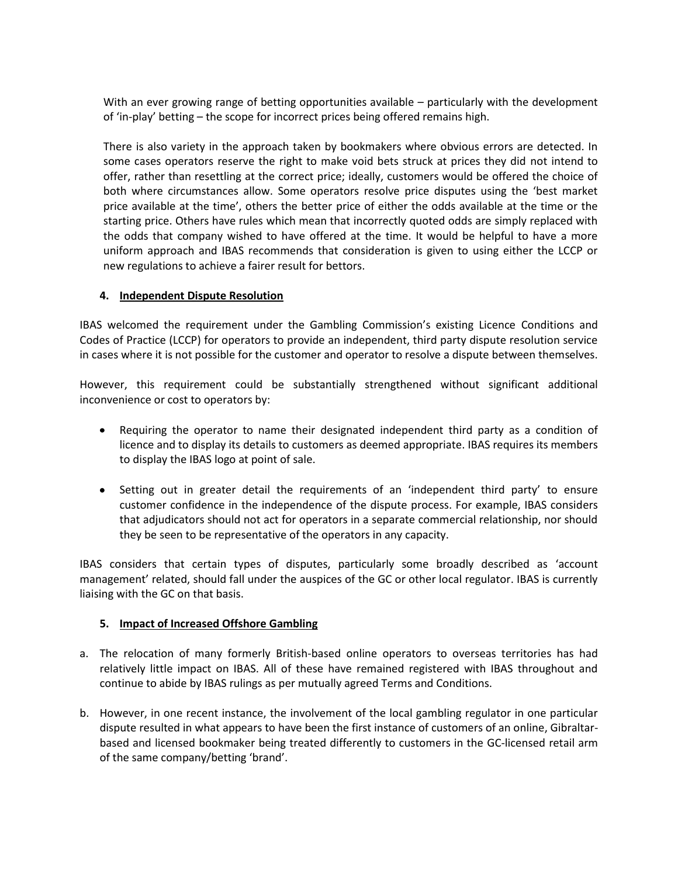With an ever growing range of betting opportunities available – particularly with the development of 'in-play' betting – the scope for incorrect prices being offered remains high.

There is also variety in the approach taken by bookmakers where obvious errors are detected. In some cases operators reserve the right to make void bets struck at prices they did not intend to offer, rather than resettling at the correct price; ideally, customers would be offered the choice of both where circumstances allow. Some operators resolve price disputes using the 'best market price available at the time', others the better price of either the odds available at the time or the starting price. Others have rules which mean that incorrectly quoted odds are simply replaced with the odds that company wished to have offered at the time. It would be helpful to have a more uniform approach and IBAS recommends that consideration is given to using either the LCCP or new regulations to achieve a fairer result for bettors.

## **4. Independent Dispute Resolution**

IBAS welcomed the requirement under the Gambling Commission's existing Licence Conditions and Codes of Practice (LCCP) for operators to provide an independent, third party dispute resolution service in cases where it is not possible for the customer and operator to resolve a dispute between themselves.

However, this requirement could be substantially strengthened without significant additional inconvenience or cost to operators by:

- Requiring the operator to name their designated independent third party as a condition of licence and to display its details to customers as deemed appropriate. IBAS requires its members to display the IBAS logo at point of sale.
- Setting out in greater detail the requirements of an 'independent third party' to ensure customer confidence in the independence of the dispute process. For example, IBAS considers that adjudicators should not act for operators in a separate commercial relationship, nor should they be seen to be representative of the operators in any capacity.

IBAS considers that certain types of disputes, particularly some broadly described as 'account management' related, should fall under the auspices of the GC or other local regulator. IBAS is currently liaising with the GC on that basis.

### **5. Impact of Increased Offshore Gambling**

- a. The relocation of many formerly British-based online operators to overseas territories has had relatively little impact on IBAS. All of these have remained registered with IBAS throughout and continue to abide by IBAS rulings as per mutually agreed Terms and Conditions.
- b. However, in one recent instance, the involvement of the local gambling regulator in one particular dispute resulted in what appears to have been the first instance of customers of an online, Gibraltarbased and licensed bookmaker being treated differently to customers in the GC-licensed retail arm of the same company/betting 'brand'.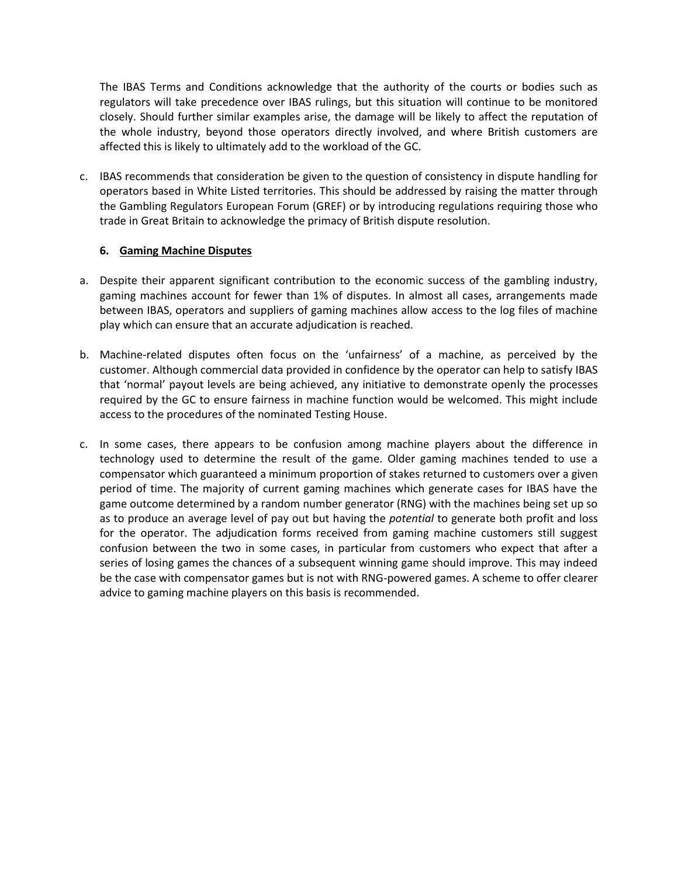The IBAS Terms and Conditions acknowledge that the authority of the courts or bodies such as regulators will take precedence over IBAS rulings, but this situation will continue to be monitored closely. Should further similar examples arise, the damage will be likely to affect the reputation of the whole industry, beyond those operators directly involved, and where British customers are affected this is likely to ultimately add to the workload of the GC.

c. IBAS recommends that consideration be given to the question of consistency in dispute handling for operators based in White Listed territories. This should be addressed by raising the matter through the Gambling Regulators European Forum (GREF) or by introducing regulations requiring those who trade in Great Britain to acknowledge the primacy of British dispute resolution.

## **6. Gaming Machine Disputes**

- a. Despite their apparent significant contribution to the economic success of the gambling industry, gaming machines account for fewer than 1% of disputes. In almost all cases, arrangements made between IBAS, operators and suppliers of gaming machines allow access to the log files of machine play which can ensure that an accurate adjudication is reached.
- b. Machine-related disputes often focus on the 'unfairness' of a machine, as perceived by the customer. Although commercial data provided in confidence by the operator can help to satisfy IBAS that 'normal' payout levels are being achieved, any initiative to demonstrate openly the processes required by the GC to ensure fairness in machine function would be welcomed. This might include access to the procedures of the nominated Testing House.
- c. In some cases, there appears to be confusion among machine players about the difference in technology used to determine the result of the game. Older gaming machines tended to use a compensator which guaranteed a minimum proportion of stakes returned to customers over a given period of time. The majority of current gaming machines which generate cases for IBAS have the game outcome determined by a random number generator (RNG) with the machines being set up so as to produce an average level of pay out but having the *potential* to generate both profit and loss for the operator. The adjudication forms received from gaming machine customers still suggest confusion between the two in some cases, in particular from customers who expect that after a series of losing games the chances of a subsequent winning game should improve. This may indeed be the case with compensator games but is not with RNG-powered games. A scheme to offer clearer advice to gaming machine players on this basis is recommended.